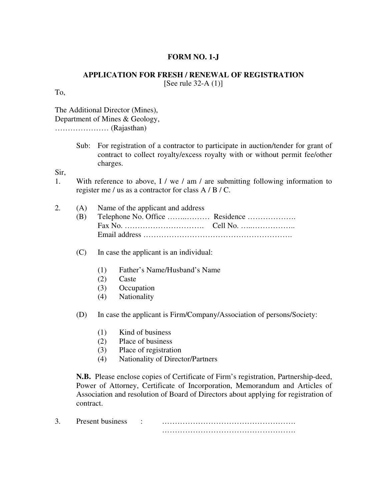## **FORM NO. 1-J**

## **APPLICATION FOR FRESH / RENEWAL OF REGISTRATION**

[See rule 32-A $(1)$ ]

To,

The Additional Director (Mines), Department of Mines & Geology, ………………… (Rajasthan)

> Sub: For registration of a contractor to participate in auction/tender for grant of contract to collect royalty/excess royalty with or without permit fee/other charges.

Sir,

1. With reference to above, I / we / am / are submitting following information to register me / us as a contractor for class A / B / C.

|  | 2. (A) Name of the applicant and address |  |
|--|------------------------------------------|--|
|  |                                          |  |
|  |                                          |  |
|  |                                          |  |

- (C) In case the applicant is an individual:
	- (1) Father's Name/Husband's Name
	- (2) Caste
	- (3) Occupation
	- (4) Nationality

(D) In case the applicant is Firm/Company/Association of persons/Society:

- (1) Kind of business
- (2) Place of business
- (3) Place of registration
- (4) Nationality of Director/Partners

**N.B.** Please enclose copies of Certificate of Firm's registration, Partnership-deed, Power of Attorney, Certificate of Incorporation, Memorandum and Articles of Association and resolution of Board of Directors about applying for registration of contract.

| $\sim$ | Present business |  |
|--------|------------------|--|
|        |                  |  |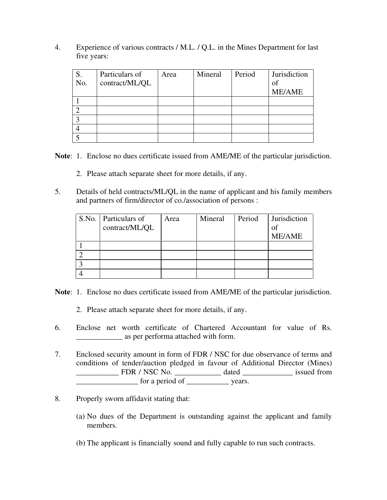4. Experience of various contracts / M.L. / Q.L. in the Mines Department for last five years:

| S.  | Particulars of | Area | Mineral | Period | Jurisdiction  |
|-----|----------------|------|---------|--------|---------------|
| No. | contract/ML/QL |      |         |        | of            |
|     |                |      |         |        | <b>ME/AME</b> |
|     |                |      |         |        |               |
|     |                |      |         |        |               |
|     |                |      |         |        |               |
|     |                |      |         |        |               |
|     |                |      |         |        |               |

**Note**: 1. Enclose no dues certificate issued from AME/ME of the particular jurisdiction.

- 2. Please attach separate sheet for more details, if any.
- 5. Details of held contracts/ML/QL in the name of applicant and his family members and partners of firm/director of co./association of persons :

| S.No. Particulars of | Area | Mineral | Period | Jurisdiction  |
|----------------------|------|---------|--------|---------------|
| contract/ML/QL       |      |         |        | of            |
|                      |      |         |        | <b>ME/AME</b> |
|                      |      |         |        |               |
|                      |      |         |        |               |
|                      |      |         |        |               |
|                      |      |         |        |               |

**Note**: 1. Enclose no dues certificate issued from AME/ME of the particular jurisdiction.

- 2. Please attach separate sheet for more details, if any.
- 6. Enclose net worth certificate of Chartered Accountant for value of Rs. **Example 3** as per performa attached with form.
- 7. Enclosed security amount in form of FDR / NSC for due observance of terms and conditions of tender/auction pledged in favour of Additional Director (Mines) \_\_\_\_\_\_\_\_\_\_\_ FDR / NSC No. \_\_\_\_\_\_\_\_\_\_\_\_ dated \_\_\_\_\_\_\_\_\_\_\_\_\_ issued from \_\_\_\_\_\_\_\_\_\_\_\_\_\_\_\_ for a period of \_\_\_\_\_\_\_\_\_\_\_ years.
- 8. Properly sworn affidavit stating that:
	- (a) No dues of the Department is outstanding against the applicant and family members.
	- (b) The applicant is financially sound and fully capable to run such contracts.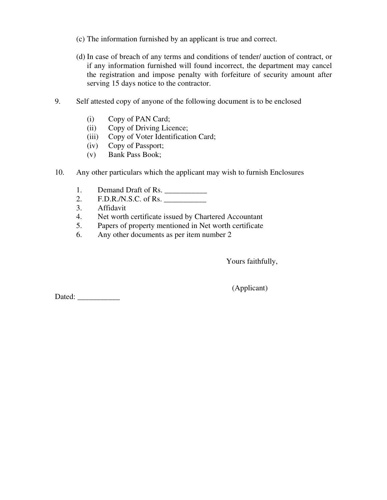- (c) The information furnished by an applicant is true and correct.
- (d) In case of breach of any terms and conditions of tender/ auction of contract, or if any information furnished will found incorrect, the department may cancel the registration and impose penalty with forfeiture of security amount after serving 15 days notice to the contractor.
- 9. Self attested copy of anyone of the following document is to be enclosed
	- (i) Copy of PAN Card;
	- (ii) Copy of Driving Licence;
	- (iii) Copy of Voter Identification Card;
	- (iv) Copy of Passport;
	- (v) Bank Pass Book;
- 10. Any other particulars which the applicant may wish to furnish Enclosures
	- 1. Demand Draft of Rs.
	- 2. F.D.R./N.S.C. of Rs.
	- 3. Affidavit
	- 4. Net worth certificate issued by Chartered Accountant
	- 5. Papers of property mentioned in Net worth certificate
	- 6. Any other documents as per item number 2

Yours faithfully,

Dated: \_\_\_\_\_\_\_\_\_\_\_

(Applicant)